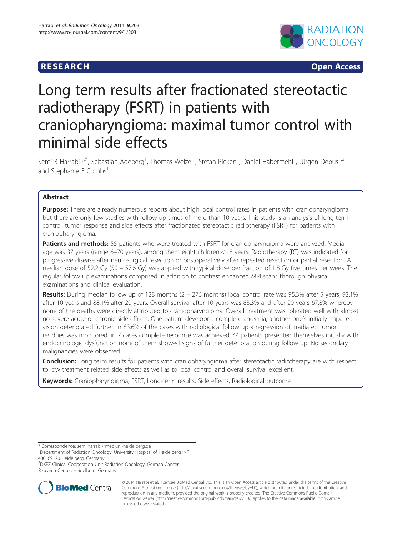# **RESEARCH CHING CONSTRUCTED ACCESS**



# Long term results after fractionated stereotactic radiotherapy (FSRT) in patients with craniopharyngioma: maximal tumor control with minimal side effects

Semi B Harrabi<sup>1,2\*</sup>, Sebastian Adeberg<sup>1</sup>, Thomas Welzel<sup>1</sup>, Stefan Rieken<sup>1</sup>, Daniel Habermehl<sup>1</sup>, Jürgen Debus<sup>1,2</sup> and Stephanie E Combs<sup>1</sup>

# Abstract

Purpose: There are already numerous reports about high local control rates in patients with craniopharyngioma but there are only few studies with follow up times of more than 10 years. This study is an analysis of long term control, tumor response and side effects after fractionated stereotactic radiotherapy (FSRT) for patients with craniopharyngioma.

Patients and methods: 55 patients who were treated with FSRT for craniopharyngioma were analyzed. Median age was 37 years (range 6–70 years), among them eight children < 18 years. Radiotherapy (RT) was indicated for progressive disease after neurosurgical resection or postoperatively after repeated resection or partial resection. A median dose of 52.2 Gy (50 – 57.6 Gy) was applied with typical dose per fraction of 1.8 Gy five times per week. The regular follow up examinations comprised in addition to contrast enhanced MRI scans thorough physical examinations and clinical evaluation.

**Results:** During median follow up of 128 months  $(2 - 276$  months) local control rate was 95.3% after 5 years, 92.1% after 10 years and 88.1% after 20 years. Overall survival after 10 years was 83.3% and after 20 years 67.8% whereby none of the deaths were directly attributed to craniopharyngioma. Overall treatment was tolerated well with almost no severe acute or chronic side effects. One patient developed complete anosmia, another one's initially impaired vision deteriorated further. In 83.6% of the cases with radiological follow up a regression of irradiated tumor residues was monitored, in 7 cases complete response was achieved. 44 patients presented themselves initially with endocrinologic dysfunction none of them showed signs of further deterioration during follow up. No secondary malignancies were observed.

Conclusion: Long term results for patients with craniopharyngioma after stereotactic radiotherapy are with respect to low treatment related side effects as well as to local control and overall survival excellent.

Keywords: Craniopharyngioma, FSRT, Long-term results, Side effects, Radiological outcome

\* Correspondence: [semi.harrabi@med.uni-heidelberg.de](mailto:semi.harrabi@med.uni-heidelberg.de) <sup>1</sup>

2 DKFZ Clinical Cooperation Unit Radiation Oncology, German Cancer Research Center, Heidelberg, Germany



© 2014 Harrabi et al.; licensee BioMed Central Ltd. This is an Open Access article distributed under the terms of the Creative Commons Attribution License [\(http://creativecommons.org/licenses/by/4.0\)](http://creativecommons.org/licenses/by/4.0), which permits unrestricted use, distribution, and reproduction in any medium, provided the original work is properly credited. The Creative Commons Public Domain Dedication waiver [\(http://creativecommons.org/publicdomain/zero/1.0/](http://creativecommons.org/publicdomain/zero/1.0/)) applies to the data made available in this article, unless otherwise stated.

<sup>&</sup>lt;sup>1</sup>Department of Radiation Oncology, University Hospital of Heidelberg INF 400, 69120 Heidelberg, Germany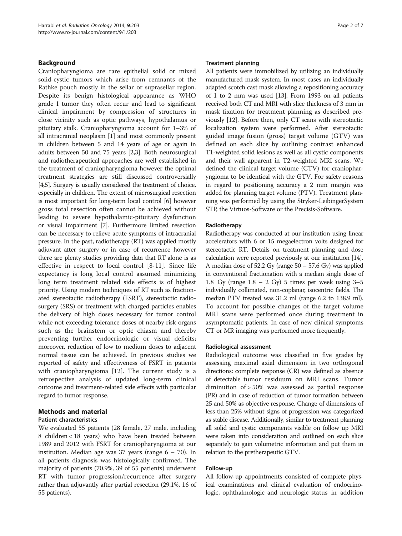# Background

Craniopharyngioma are rare epithelial solid or mixed solid-cystic tumors which arise from remnants of the Rathke pouch mostly in the sellar or suprasellar region. Despite its benign histological appearance as WHO grade I tumor they often recur and lead to significant clinical impairment by compression of structures in close vicinity such as optic pathways, hypothalamus or pituitary stalk. Craniopharyngioma account for 1–3% of all intracranial neoplasm [[1\]](#page-5-0) and most commonly present in children between 5 and 14 years of age or again in adults between 50 and 75 years [\[2,3\]](#page-5-0). Both neurosurgical and radiotherapeutical approaches are well established in the treatment of craniopharyngioma however the optimal treatment strategies are still discussed controversially [[4,5](#page-5-0)]. Surgery is usually considered the treatment of choice, especially in children. The extent of microsurgical resection is most important for long-term local control [\[6\]](#page-5-0) however gross total resection often cannot be achieved without leading to severe hypothalamic-pituitary dysfunction or visual impairment [\[7\]](#page-5-0). Furthermore limited resection can be necessary to relieve acute symptoms of intracranial pressure. In the past, radiotherapy (RT) was applied mostly adjuvant after surgery or in case of recurrence however there are plenty studies providing data that RT alone is as effective in respect to local control [\[8](#page-5-0)-[11\]](#page-5-0). Since life expectancy is long local control assumed minimizing long term treatment related side effects is of highest priority. Using modern techniques of RT such as fractionated stereotactic radiotherapy (FSRT), stereotactic radiosurgery (SRS) or treatment with charged particles enables the delivery of high doses necessary for tumor control while not exceeding tolerance doses of nearby risk organs such as the brainstem or optic chiasm and thereby preventing further endocrinologic or visual deficits; moreover, reduction of low to medium doses to adjacent normal tissue can be achieved. In previous studies we reported of safety and effectiveness of FSRT in patients with craniopharyngioma [[12\]](#page-5-0). The current study is a retrospective analysis of updated long-term clinical outcome and treatment-related side effects with particular regard to tumor response.

#### Methods and material

#### Patient characteristics

We evaluated 55 patients (28 female, 27 male, including 8 children < 18 years) who have been treated between 1989 and 2012 with FSRT for craniopharyngioma at our institution. Median age was 37 years (range 6 – 70). In all patients diagnosis was histologically confirmed. The majority of patients (70.9%, 39 of 55 patients) underwent RT with tumor progression/recurrence after surgery rather than adjuvantly after partial resection (29.1%, 16 of 55 patients).

#### Treatment planning

All patients were immobilized by utilizing an individually manufactured mask system. In most cases an individually adapted scotch cast mask allowing a repositioning accuracy of 1 to 2 mm was used [[13](#page-5-0)]. From 1993 on all patients received both CT and MRI with slice thickness of 3 mm in mask fixation for treatment planning as described previously [\[12\]](#page-5-0). Before then, only CT scans with stereotactic localization system were performed. After stereotactic guided image fusion (gross) target volume (GTV) was defined on each slice by outlining contrast enhanced T1-weighted solid lesions as well as all cystic components and their wall apparent in T2-weighted MRI scans. We defined the clinical target volume (CTV) for craniopharyngioma to be identical with the GTV. For safety reasons in regard to positioning accuracy a 2 mm margin was added for planning target volume (PTV). Treatment planning was performed by using the Stryker-LeibingerSystem STP, the Virtuos-Software or the Precisis-Software.

#### Radiotherapy

Radiotherapy was conducted at our institution using linear accelerators with 6 or 15 megaelectron volts designed for stereotactic RT. Details on treatment planning and dose calculation were reported previously at our institution [\[14](#page-5-0)]. A median dose of 52.2 Gy (range  $50 - 57.6$  Gy) was applied in conventional fractionation with a median single dose of 1.8 Gy (range  $1.8 - 2$  Gy) 5 times per week using  $3-5$ individually collimated, non-coplanar, isocentric fields. The median PTV treated was 31.2 ml (range 6.2 to 138.9 ml). To account for possible changes of the target volume MRI scans were performed once during treatment in asymptomatic patients. In case of new clinical symptoms CT or MR imaging was performed more frequently.

#### Radiological assessment

Radiological outcome was classified in five grades by assessing maximal axial dimension in two orthogonal directions: complete response (CR) was defined as absence of detectable tumor residuum on MRI scans. Tumor diminution of > 50% was assessed as partial response (PR) and in case of reduction of tumor formation between 25 and 50% as objective response. Change of dimensions of less than 25% without signs of progression was categorized as stable disease. Additionally, similar to treatment planning all solid and cystic components visible on follow up MRI were taken into consideration and outlined on each slice separately to gain volumetric information and put them in relation to the pretherapeutic GTV.

#### Follow-up

All follow-up appointments consisted of complete physical examinations and clinical evaluation of endocrinologic, ophthalmologic and neurologic status in addition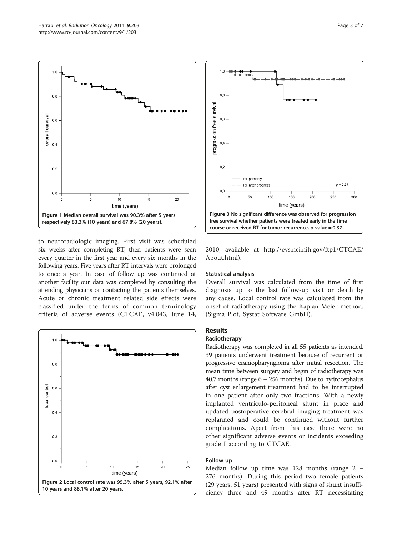<span id="page-2-0"></span>

to neuroradiologic imaging. First visit was scheduled six weeks after completing RT, then patients were seen every quarter in the first year and every six months in the following years. Five years after RT intervals were prolonged to once a year. In case of follow up was continued at another facility our data was completed by consulting the attending physicians or contacting the patients themselves. Acute or chronic treatment related side effects were classified under the terms of common terminology criteria of adverse events (CTCAE, v4.043, June 14,





2010, available at [http://evs.nci.nih.gov/ftp1/CTCAE/](http://evs.nci.nih.gov/ftp1/CTCAE/About.html) [About.html\)](http://evs.nci.nih.gov/ftp1/CTCAE/About.html).

# Statistical analysis

Overall survival was calculated from the time of first diagnosis up to the last follow-up visit or death by any cause. Local control rate was calculated from the onset of radiotherapy using the Kaplan-Meier method. (Sigma Plot, Systat Software GmbH).

# Results

# Radiotherapy

Radiotherapy was completed in all 55 patients as intended. 39 patients underwent treatment because of recurrent or progressive craniopharyngioma after initial resection. The mean time between surgery and begin of radiotherapy was 40.7 months (range 6 – 256 months). Due to hydrocephalus after cyst enlargement treatment had to be interrupted in one patient after only two fractions. With a newly implanted ventriculo-peritoneal shunt in place and updated postoperative cerebral imaging treatment was replanned and could be continued without further complications. Apart from this case there were no other significant adverse events or incidents exceeding grade I according to CTCAE.

# Follow up

Median follow up time was 128 months (range 2 – 276 months). During this period two female patients (29 years, 51 years) presented with signs of shunt insufficiency three and 49 months after RT necessitating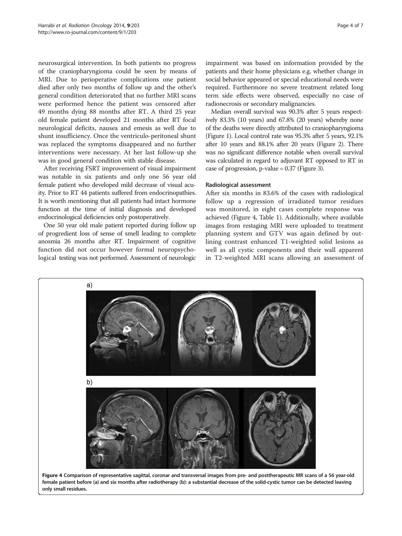neurosurgical intervention. In both patients no progress of the craniopharyngioma could be seen by means of MRI. Due to perioperative complications one patient died after only two months of follow up and the other's general condition deteriorated that no further MRI scans were performed hence the patient was censored after 49 months dying 88 months after RT. A third 25 year old female patient developed 21 months after RT focal neurological deficits, nausea and emesis as well due to shunt insufficiency. Once the ventriculo-peritoneal shunt was replaced the symptoms disappeared and no further interventions were necessary. At her last follow-up she was in good general condition with stable disease.

After receiving FSRT improvement of visual impairment was notable in six patients and only one 56 year old female patient who developed mild decrease of visual acuity. Prior to RT 44 patients suffered from endocrinopathies. It is worth mentioning that all patients had intact hormone function at the time of initial diagnosis and developed endocrinological deficiencies only postoperatively.

One 50 year old male patient reported during follow up of progredient loss of sense of smell leading to complete anosmia 26 months after RT. Impairment of cognitive function did not occur however formal neuropsychological testing was not performed. Assessment of neurologic impairment was based on information provided by the patients and their home physicians e.g. whether change in social behavior appeared or special educational needs were required. Furthermore no severe treatment related long term side effects were observed, especially no case of radionecrosis or secondary malignancies.

Median overall survival was 90.3% after 5 years respectively 83.3% (10 years) and 67.8% (20 years) whereby none of the deaths were directly attributed to craniopharyngioma (Figure [1\)](#page-2-0). Local control rate was 95.3% after 5 years, 92.1% after 10 years and 88.1% after 20 years (Figure [2\)](#page-2-0). There was no significant difference notable when overall survival was calculated in regard to adjuvant RT opposed to RT in case of progression, p-value = 0.37 (Figure [3\)](#page-2-0).

#### Radiological assessment

After six months in 83.6% of the cases with radiological follow up a regression of irradiated tumor residues was monitored, in eight cases complete response was achieved (Figure 4, Table [1](#page-4-0)). Additionally, where available images from restaging MRI were uploaded to treatment planning system and GTV was again defined by outlining contrast enhanced T1-weighted solid lesions as well as all cystic components and their wall apparent in T2-weighted MRI scans allowing an assessment of

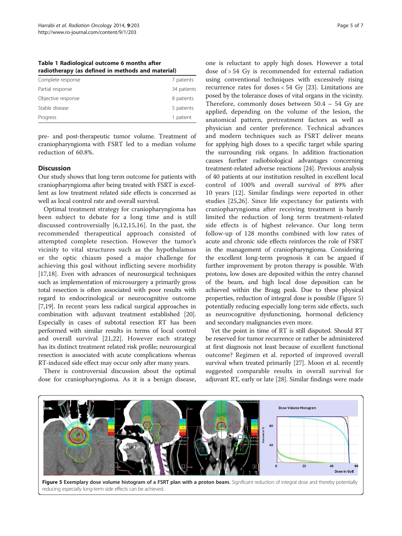<span id="page-4-0"></span>Table 1 Radiological outcome 6 months after radiotherapy (as defined in methods and material)

| Complete response  | 7 patients  |
|--------------------|-------------|
| Partial response   | 34 patients |
| Objective response | 8 patients  |
| Stable disease     | 5 patients  |
| Progress           | 1 patient   |
|                    |             |

pre- and post-therapeutic tumor volume. Treatment of craniopharyngioma with FSRT led to a median volume reduction of 60.8%.

# **Discussion**

Our study shows that long term outcome for patients with craniopharyngioma after being treated with FSRT is excellent as low treatment related side effects is concerned as well as local control rate and overall survival.

Optimal treatment strategy for craniopharyngioma has been subject to debate for a long time and is still discussed controversially [\[6](#page-5-0),[12,15](#page-5-0),[16\]](#page-5-0). In the past, the recommended therapeutical approach consisted of attempted complete resection. However the tumor's vicinity to vital structures such as the hypothalamus or the optic chiasm posed a major challenge for achieving this goal without inflicting severe morbidity [[17,18](#page-5-0)]. Even with advances of neurosurgical techniques such as implementation of microsurgery a primarily gross total resection is often associated with poor results with regard to endocrinological or neurocognitive outcome [[7,19](#page-5-0)]. In recent years less radical surgical approaches in combination with adjuvant treatment established [[20](#page-5-0)]. Especially in cases of subtotal resection RT has been performed with similar results in terms of local control and overall survival [[21,22](#page-5-0)]. However each strategy has its distinct treatment related risk profile; neurosurgical resection is associated with acute complications whereas RT-induced side effect may occur only after many years.

There is controversial discussion about the optimal dose for craniopharyngioma. As it is a benign disease,

one is reluctant to apply high doses. However a total dose of > 54 Gy is recommended for external radiation using conventional techniques with excessively rising recurrence rates for doses < 54 Gy [\[23](#page-5-0)]. Limitations are posed by the tolerance doses of vital organs in the vicinity. Therefore, commonly doses between 50.4 – 54 Gy are applied, depending on the volume of the lesion, the anatomical pattern, pretreatment factors as well as physician and center preference. Technical advances and modern techniques such as FSRT deliver means for applying high doses to a specific target while sparing the surrounding risk organs. In addition fractionation causes further radiobiological advantages concerning treatment-related adverse reactions [[24](#page-5-0)]. Previous analysis of 40 patients at our institution resulted in excellent local control of 100% and overall survival of 89% after 10 years [[12](#page-5-0)]. Similar findings were reported in other studies [\[25,26](#page-6-0)]. Since life expectancy for patients with craniopharyngioma after receiving treatment is barely limited the reduction of long term treatment-related side effects is of highest relevance. Our long term follow-up of 128 months combined with low rates of acute and chronic side effects reinforces the role of FSRT in the management of craniopharyngioma. Considering the excellent long-term prognosis it can be argued if further improvement by proton therapy is possible. With protons, low doses are deposited within the entry channel of the beam, and high local dose deposition can be achieved within the Bragg peak. Due to these physical properties, reduction of integral dose is possible (Figure 5) potentially reducing especially long-term side effects, such as neurocognitive dysfunctioning, hormonal deficiency and secondary malignancies even more.

Yet the point in time of RT is still disputed. Should RT be reserved for tumor recurrence or rather be administered at first diagnosis not least because of excellent functional outcome? Regimen et al. reported of improved overall survival when treated primarily [[27\]](#page-6-0). Moon et al. recently suggested comparable results in overall survival for adjuvant RT, early or late [\[28](#page-6-0)]. Similar findings were made

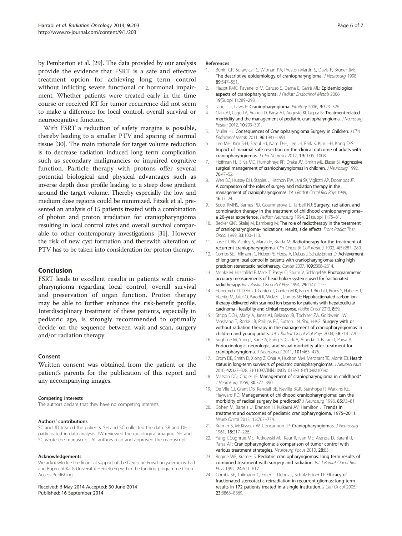<span id="page-5-0"></span>by Pemberton et al. [[29](#page-6-0)]. The data provided by our analysis provide the evidence that FSRT is a safe and effective treatment option for achieving long term control without inflicting severe functional or hormonal impairment. Whether patients were treated early in the time course or received RT for tumor recurrence did not seem to make a difference for local control, overall survival or neurocognitive function.

With FSRT a reduction of safety margins is possible, thereby leading to a smaller PTV and sparing of normal tissue [[30](#page-6-0)]. The main rationale for target volume reduction is to decrease radiation induced long term complication such as secondary malignancies or impaired cognitive function. Particle therapy with protons offer several potential biological and physical advantages such as inverse depth dose profile leading to a steep dose gradient around the target volume. Thereby especially the low and medium dose regions could be minimized. Fitzek et al. presented an analysis of 15 patients treated with a combination of photon and proton irradiation for craniopharyngioma resulting in local control rates and overall survival comparable to other contemporary investigations [\[31](#page-6-0)]. However the risk of new cyst formation and therewith alteration of PTV has to be taken into consideration for proton therapy.

### Conclusion

FSRT leads to excellent results in patients with craniopharyngioma regarding local control, overall survival and preservation of organ function. Proton therapy may be able to further enhance the risk-benefit profile. Interdisciplinary treatment of these patients, especially in pediatric age, is strongly recommended to optimally decide on the sequence between wait-and-scan, surgery and/or radiation therapy.

#### Consent

Written consent was obtained from the patient or the patient's parents for the publication of this report and any accompanying images.

#### Competing interests

The authors declare that they have no competing interests.

#### Authors' contributions

SC and JD treated the patients. SH and SC collected the data. SR and DH participated in data analysis. TW reviewed the radiological imaging. SH and SC wrote the manuscript. All authors read and approved the manuscript.

#### Acknowledgements

We acknowledge the financial support of the Deutsche Forschungsgemeinschaft and Ruprecht-Karls-Universität Heidelberg within the funding programme Open Access Publishing.

Received: 6 May 2014 Accepted: 30 June 2014 Published: 16 September 2014

#### References

- 1. Bunin GR, Surawicz TS, Witman PA, Preston-Martin S, Davis F, Bruner JM: The descriptive epidemiology of craniopharyngioma. J Neurosurg 1998, 89:547–551.
- 2. Haupt RMC, Pavanello M, Caruso S, Dama E, Garrè ML: Epidemiological aspects of craniopharyngioma. J Pediatr Endocrinol Metab 2006, 19(Suppl 1):289–293.
- 3. Jane J Jr, Laws E: Craniopharyngioma. Pituitary 2006, 9:323-326.
- 4. Clark AJ, Cage TA, Aranda D, Parsa AT, Auguste KI, Gupta N: Treatment-related morbidity and the management of pediatric craniopharyngioma. J Neurosurg Pediatr 2012, 10:293–301.
- 5. Müller HL: Consequences of Craniopharyngioma Surgery in Children. J Clin Endocrinol Metab 2011, 96:1981–1991.
- 6. Lee MH, Kim S-H, Seoul HJ, Nam D-H, Lee J-I, Park K, Kim J-H, Kong D-S: Impact of maximal safe resection on the clinical outcome of adults with craniopharyngiomas. J Clin Neurosci 2012, 19:1005–1008.
- 7. Hoffman HJ, Silva MD, Humphreys RP, Drake JM, Smith ML, Blaser SI: Aggressive surgical management of craniopharyngiomas in children. J Neurosurg 1992, 76:47–52.
- 8. Wen BC, Hussey DH, Staples J, Hitchon PW, Jani SK, Vigliotti AP, Doornbos JF: A comparison of the roles of surgery and radiation therapy in the management of craniopharyngiomas. Int J Radiat Oncol Biol Phys 1989, 16:17–24.
- 9. Scott RMHS, Barnes PD, Goumnerova L, Tarbell NJ: Surgery, radiation, and combination therapy in the treatment of childhood craniopharyngioma– a 20-year experience. Pediatr Neurosurg 1994, 21(suppl 1):75–81.
- 10. Becker GKR, Skalej M, Bamberg M: The role of radiotherapy in the treatment of craniopharyngioma–indications, results, side effects. Front Radiat Ther Oncol 1999, 33:100–113.
- 11. Jose CCRB, Ashley S, Marsh H, Brada M: Radiotherapy for the treatment of recurrent craniopharyngioma. Clin Oncol (R Coll Radiol) 1992, 4(5):287–289.
- 12. Combs SE, Thilmann C, Huber PE, Hoess A, Debus J, Schulz-Ertner D: Achievement of long-term local control in patients with craniopharyngiomas using high precision stereotactic radiotherapy. Cancer 2007, 109:2308–2314.
- 13. Menke M, Hirschfeld F, Mack T, Pastyr O, Sturm V, Schlegel W: Photogrammetric accuracy measurements of head holder systems used for fractionated radiotherapy. Int J Radiat Oncol Biol Phys 1994, 29:1147–1155.
- 14. Habermehl D, Debus J, Ganten T, Ganten M-K, Bauer J, Brecht I, Brons S, Haberer T, Haertig M, Jakel O, Parodi K, Welzel T, Combs SE: Hypofractionated carbon ion therapy delivered with scanned ion beams for patients with hepatocellular carcinoma - feasibility and clinical response. Radiat Oncol 2013, 8:59.
- 15. Stripp DCH, Maity A, Janss AJ, Belasco JB, Tochner ZA, Goldwein JW, Moshang T, Rorke LB, Phillips PC, Sutton LN, Shu H-KG: Surgery with or without radiation therapy in the management of craniopharyngiomas in children and young adults. Int J Radiat Oncol Biol Phys 2004, 58:714-720.
- 16. Sughrue M, Yang I, Kane A, Fang S, Clark A, Aranda D, Barani I, Parsa A: Endocrinologic, neurologic, and visual morbidity after treatment for craniopharyngioma. J Neurooncol 2011, 101:463–476.
- 17. Crom DB, Smith D, Xiong Z, Onar A, Hudson MM, Merchant TE, Morris EB: Health status in long-term survivors of pediatric craniopharyngiomas. J Neurosci Nurs 2010, 42:323–328. 310.1097/JNN.1090b1013e3181f1098a1059d.
- 18. Matson DD, Crigler JF: Management of craniopharyngioma in childhood\*. J Neurosurg 1969, 30:377–390.
- 19. De Vile CJ, Grant DB, Kendall BE, Neville BGR, Stanhope R, Watkins KE, Hayward RD: Management of childhood craniopharyngioma: can the morbidity of radical surgery be predicted? J Neurosurg 1996, 85:73-81.
- 20. Cohen M, Bartels U, Branson H, Kulkarni AV, Hamilton J: Trends in treatment and outcomes of pediatric craniopharyngioma, 1975–2011. Neuro Oncol 2013, 15:767–774.
- 21. Kramer S, McKissock W, Concannon JP: Craniopharyngiomas. J Neurosurg 1961, 18:217–226.
- 22. Yang I, Sughrue ME, Rutkowski MJ, Kaur R, Ivan ME, Aranda D, Barani IJ, Parsa AT: Craniopharyngioma: a comparison of tumor control with various treatment strategies. Neurosurg Focus 2010, 28:E5.
- 23. Regine WF, Kramer S: Pediatric craniopharyngiomas: long term results of combined treatment with surgery and radiation. Int J Radiat Oncol Biol Phys 1992, 24:611–617.
- 24. Combs SE, Thilmann C, Edler L, Debus J, Schulz-Ertner D: Efficacy of fractionated stereotactic reirradiation in recurrent gliomas: long-term results in 172 patients treated in a single institution. J Clin Oncol 2005, 23:8863–8869.